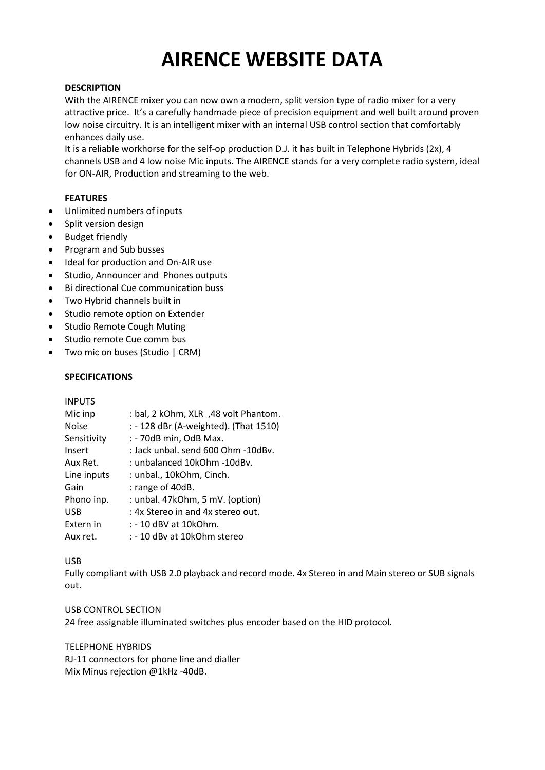# **AIRENCE WEBSITE DATA**

# **DESCRIPTION**

With the AIRENCE mixer you can now own a modern, split version type of radio mixer for a very attractive price. It's a carefully handmade piece of precision equipment and well built around proven low noise circuitry. It is an intelligent mixer with an internal USB control section that comfortably enhances daily use.

It is a reliable workhorse for the self-op production D.J. it has built in Telephone Hybrids (2x), 4 channels USB and 4 low noise Mic inputs. The AIRENCE stands for a very complete radio system, ideal for ON-AIR, Production and streaming to the web.

# **FEATURES**

- Unlimited numbers of inputs
- Split version design
- Budget friendly
- Program and Sub busses
- Ideal for production and On-AIR use
- Studio, Announcer and Phones outputs
- Bi directional Cue communication buss
- Two Hybrid channels built in
- Studio remote option on Extender
- Studio Remote Cough Muting
- Studio remote Cue comm bus
- Two mic on buses (Studio | CRM)

# **SPECIFICATIONS**

| <b>INPUTS</b> |                                       |
|---------------|---------------------------------------|
| Mic inp       | : bal, 2 kOhm, XLR, 48 volt Phantom.  |
| <b>Noise</b>  | : - 128 dBr (A-weighted). (That 1510) |
| Sensitivity   | : - 70dB min, OdB Max.                |
| Insert        | : Jack unbal, send 600 Ohm -10dBv.    |
| Aux Ret.      | : unbalanced 10kOhm -10dBv.           |
| Line inputs   | : unbal., 10kOhm, Cinch.              |
| Gain          | : range of 40dB.                      |
| Phono inp.    | : unbal. 47kOhm, 5 mV. (option)       |
| <b>USB</b>    | : 4x Stereo in and 4x stereo out.     |
| Extern in     | : - 10 dBV at 10kOhm.                 |
| Aux ret.      | : - 10 dBv at 10kOhm stereo           |

#### USB

Fully compliant with USB 2.0 playback and record mode. 4x Stereo in and Main stereo or SUB signals out.

#### USB CONTROL SECTION

24 free assignable illuminated switches plus encoder based on the HID protocol.

#### TELEPHONE HYBRIDS

RJ-11 connectors for phone line and dialler Mix Minus rejection @1kHz -40dB.